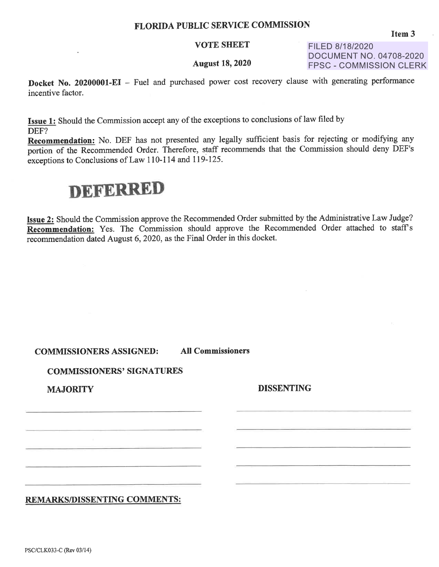## FLORIDA PUBLIC SERVICE COMMISSION

## VOTE SHEET

## August 18, 2020

FILED 8/18/2020 DOCUMENT NO. 04708-2020 FPSC - COMMISSION CLERK

**Docket No. 20200001-EI** - Fuel and purchased power cost recovery clause with generating performance incentive factor.

**Issue 1:** Should the Commission accept any of the exceptions to conclusions of law filed by DEF?

**Recommendation:** No. DEF has not presented any legally sufficient basis for rejecting or modifying any portion of the Recommended Order. Therefore, staff recommends that the Commission should deny DEF's exceptions to Conclusions of Law 110-114 and 119-125.

## **DEFERRED**

**Issue 2:** Should the Commission approve the Recommended Order submitted by the Administrative Law Judge? **Recommendation:** Yes. The Commission should approve the Recommended Order attached to staff's recommendation dated August 6, 2020, as the Final Order in this docket.

| <b>COMMISSIONERS ASSIGNED:</b> | <b>All Commissioners</b> |
|--------------------------------|--------------------------|
|--------------------------------|--------------------------|

**COMMISSIONERS' SIGNATURES** 

**MAJORITY** 

**DISSENTING** 

**REMARKS/DISSENTING COMMENTS:**